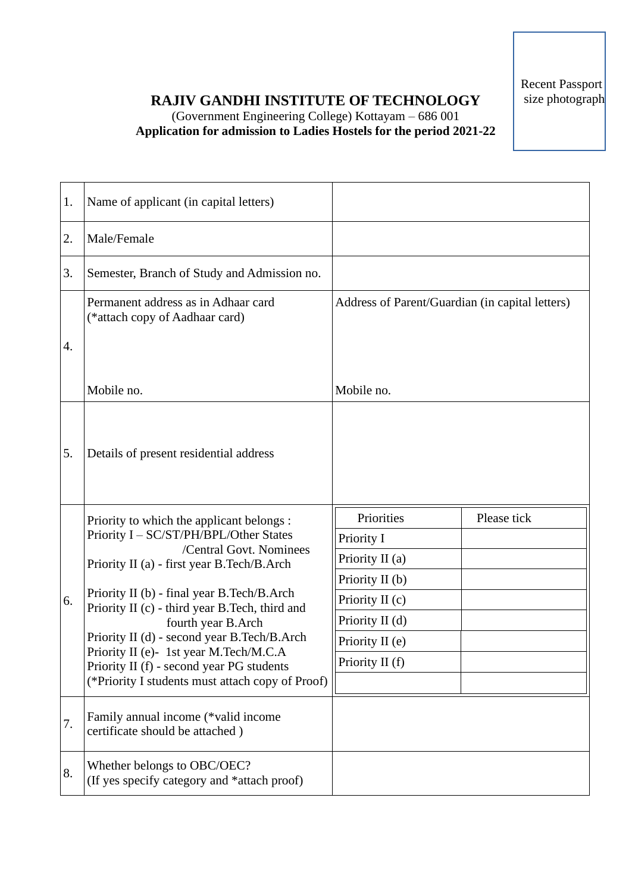Recent Passport size photograph

## **RAJIV GANDHI INSTITUTE OF TECHNOLOGY** (Government Engineering College) Kottayam – 686 001

**Application for admission to Ladies Hostels for the period 2021-22**

| 1. | Name of applicant (in capital letters)                                                                                                                                                                                                                                                                                                                                                                                                                                       |                                                 |             |
|----|------------------------------------------------------------------------------------------------------------------------------------------------------------------------------------------------------------------------------------------------------------------------------------------------------------------------------------------------------------------------------------------------------------------------------------------------------------------------------|-------------------------------------------------|-------------|
| 2. | Male/Female                                                                                                                                                                                                                                                                                                                                                                                                                                                                  |                                                 |             |
| 3. | Semester, Branch of Study and Admission no.                                                                                                                                                                                                                                                                                                                                                                                                                                  |                                                 |             |
| 4. | Permanent address as in Adhaar card<br>(*attach copy of Aadhaar card)                                                                                                                                                                                                                                                                                                                                                                                                        | Address of Parent/Guardian (in capital letters) |             |
|    | Mobile no.                                                                                                                                                                                                                                                                                                                                                                                                                                                                   | Mobile no.                                      |             |
| 5. | Details of present residential address                                                                                                                                                                                                                                                                                                                                                                                                                                       |                                                 |             |
|    | Priority to which the applicant belongs :<br>Priority I - SC/ST/PH/BPL/Other States<br>/Central Govt. Nominees<br>Priority II (a) - first year B.Tech/B.Arch<br>Priority II (b) - final year B.Tech/B.Arch<br>Priority II (c) - third year B.Tech, third and<br>fourth year B.Arch<br>Priority II (d) - second year B.Tech/B.Arch<br>Priority II (e)- 1st year M.Tech/M.C.A<br>Priority II (f) - second year PG students<br>(*Priority I students must attach copy of Proof) | Priorities                                      | Please tick |
|    |                                                                                                                                                                                                                                                                                                                                                                                                                                                                              | Priority I                                      |             |
|    |                                                                                                                                                                                                                                                                                                                                                                                                                                                                              | Priority II (a)                                 |             |
|    |                                                                                                                                                                                                                                                                                                                                                                                                                                                                              | Priority $II(b)$                                |             |
| 6. |                                                                                                                                                                                                                                                                                                                                                                                                                                                                              | Priority II (c)                                 |             |
|    |                                                                                                                                                                                                                                                                                                                                                                                                                                                                              | Priority II (d)                                 |             |
|    |                                                                                                                                                                                                                                                                                                                                                                                                                                                                              | Priority II (e)<br>Priority II (f)              |             |
|    |                                                                                                                                                                                                                                                                                                                                                                                                                                                                              |                                                 |             |
|    |                                                                                                                                                                                                                                                                                                                                                                                                                                                                              |                                                 |             |
| 7. | Family annual income (*valid income<br>certificate should be attached)                                                                                                                                                                                                                                                                                                                                                                                                       |                                                 |             |
| 8. | Whether belongs to OBC/OEC?<br>(If yes specify category and *attach proof)                                                                                                                                                                                                                                                                                                                                                                                                   |                                                 |             |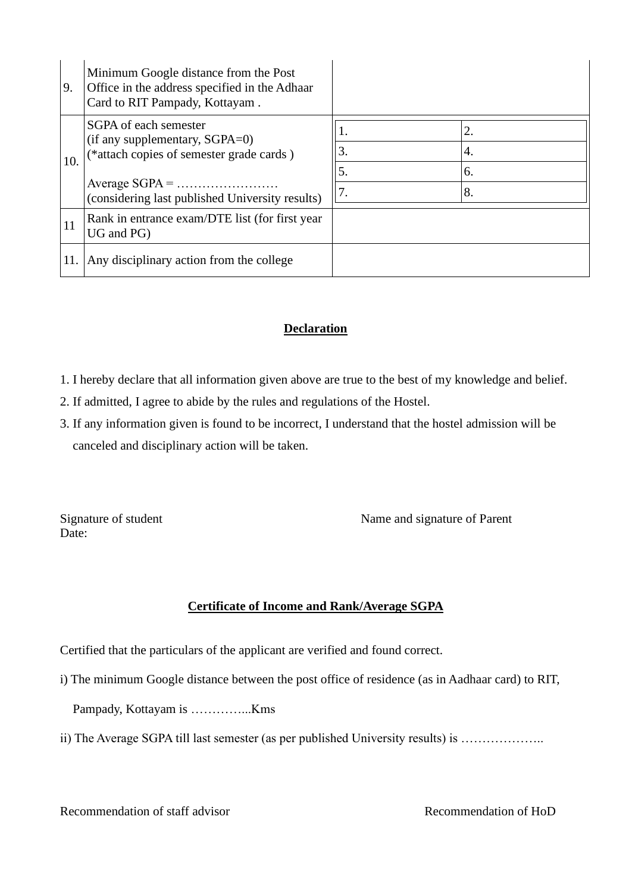| 9.  | Minimum Google distance from the Post<br>Office in the address specified in the Adhaar<br>Card to RIT Pampady, Kottayam.                               |                      |                      |
|-----|--------------------------------------------------------------------------------------------------------------------------------------------------------|----------------------|----------------------|
| 10. | SGPA of each semester<br>(if any supplementary, SGPA=0)<br>(*attach copies of semester grade cards)<br>(considering last published University results) | 1.<br>3.<br>5.<br>7. | 2.<br>4.<br>6.<br>8. |
| 11  | Rank in entrance exam/DTE list (for first year)<br>UG and PG)                                                                                          |                      |                      |
| 11. | Any disciplinary action from the college                                                                                                               |                      |                      |

## **Declaration**

- 1. I hereby declare that all information given above are true to the best of my knowledge and belief.
- 2. If admitted, I agree to abide by the rules and regulations of the Hostel.
- 3. If any information given is found to be incorrect, I understand that the hostel admission will be canceled and disciplinary action will be taken.

Date:

Signature of student Name and signature of Parent

## **Certificate of Income and Rank/Average SGPA**

Certified that the particulars of the applicant are verified and found correct.

i) The minimum Google distance between the post office of residence (as in Aadhaar card) to RIT,

Pampady, Kottayam is …………...Kms

ii) The Average SGPA till last semester (as per published University results) is ………………

Recommendation of staff advisor Recommendation of HoD